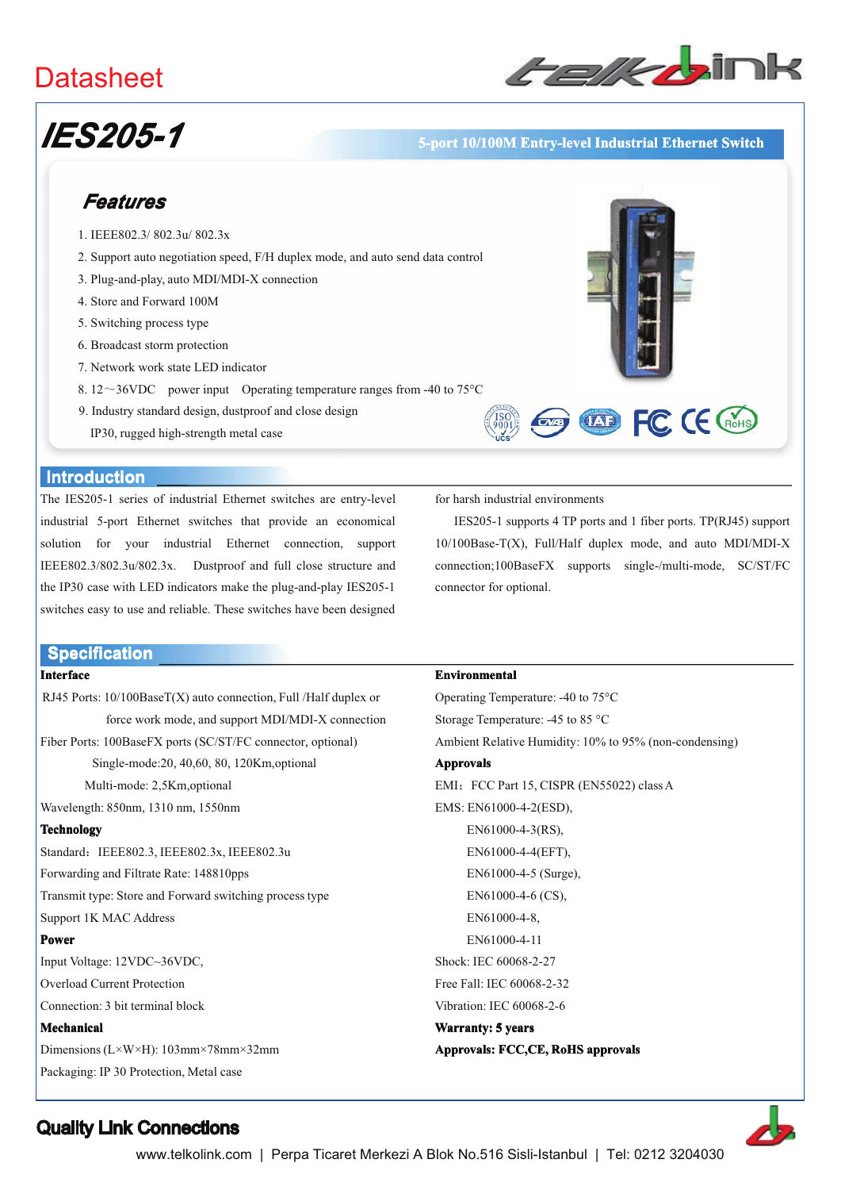## **Datasheet**



# **IES205-1**

#### 5-port 10/100M Entry-level Industrial Ethernet Switch

### Features

- 1. IEEE802.3/802.3u/802.3x
- 2. Support auto negotiation speed, F/H duplex mode, and auto send data control
- 3. Plug-and-play, auto MDI/MDI-X connection
- 4. Store and Forward 100M
- 5. Switching process type
- 6. Broadcast storm protection
- 7. Network work state LED indicator
- 8.12~36VDC power input Operating temperature ranges from -40 to 75 $^{\circ}$ C
- 9. Industry standard design, dustproof and close design
	- IP30, rugged high-strength metal case



#### **Introduction**

The IES205-1 series of industrial Ethernet switches are entry-level industrial 5-port Ethernet switches that provide an economical solution for your industrial Ethernet connection, support IEEE802.3/802.3u/802.3x. Dustproof and full close structure and the IP30 case with LED indicators make the plug-and-play IES205-1 switches easy to use and reliable. These switches have been designed

#### **Specification**

#### **Interface**

RJ45 Ports: 10/100BaseT(X) auto connection, Full /Half duplex or force work mode, and support MDI/MDI-X connection

Fiber Ports: 100BaseFX ports (SC/ST/FC connector, optional)

Single-mode:20, 40,60, 80, 120Km,optional

Multi-mode: 2.5Km.optional

Wavelength: 850nm, 1310 nm, 1550nm

#### **Technology**

Standard: IEEE802.3, IEEE802.3x, IEEE802.3u Forwarding and Filtrate Rate: 148810pps Transmit type: Store and Forward switching process type Support 1K MAC Address

#### Power

Input Voltage: 12VDC~36VDC, **Overload Current Protection** Connection: 3 bit terminal block

#### Mechanical

Dimensions ( $L \times W \times H$ ): 103mm×78mm×32mm Packaging: IP 30 Protection, Metal case

for harsh industrial environments

IES205-1 supports 4 TP ports and 1 fiber ports. TP(RJ45) support 10/100Base-T(X), Full/Half duplex mode, and auto MDI/MDI-X connection;100BaseFX supports single-/multi-mode, SC/ST/FC connector for optional.

#### Environmental

Operating Temperature: -40 to 75°C Storage Temperature: -45 to 85 °C Ambient Relative Humidity: 10% to 95% (non-condensing) **Approvals** EMI: FCC Part 15, CISPR (EN55022) class A EMS: EN61000-4-2(ESD), EN61000-4-3(RS), EN61000-4-4(EFT), EN61000-4-5 (Surge), EN61000-4-6 (CS). EN61000-4-8. EN61000-4-11 Shock: IEC 60068-2-27 Free Fall: IEC 60068-2-32 Vibration: IEC 60068-2-6 Warranty: 5 years Approvals: FCC,CE, RoHS approvals